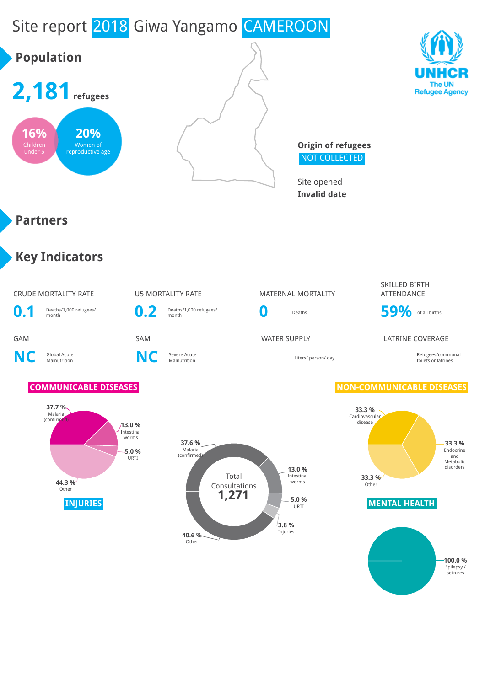# Site report 2018 Giwa Yangamo CAMEROON

# **Population**







**Origin of refugees** NOT COLLECTED

Site opened **Invalid date**

### **Partners**

### **Key Indicators**

### CRUDE MORTALITY RATE U5 MORTALITY RATE MATERNAL MORTALITY



**NC** Global Acute

**C** Severe Acute<br>Malnutrition **NC** Severe Acute

**0.2** Deaths/1,000 refugees/

#### SKILLED BIRTH ATTENDANCE



### GAM SAM SAM SAM WATER SUPPLY LATRINE COVERAGE

Malnutrition Liters/ person/ day Refugees/communal toilets or latrines

### **COMMUNICABLE DISEASES NON-COMMUNICABLE DISEASES**







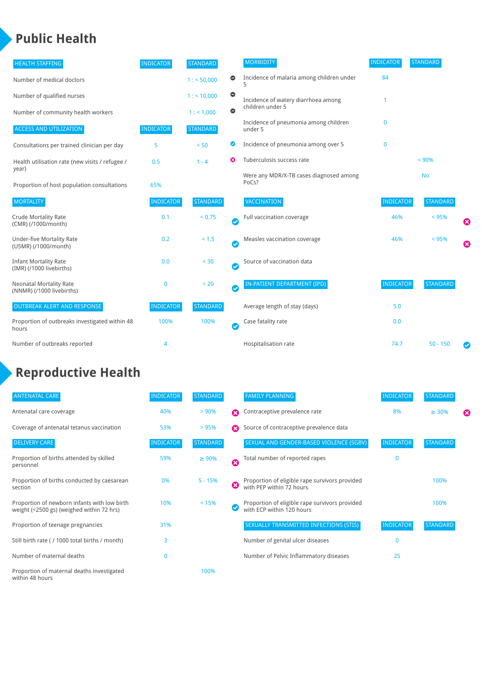### **Public Health**

| <b>HEALTH STAFFING</b>                                      | <b>INDICATOR</b> | <b>STANDARD</b> |                            | <b>MORBIDITY</b>                                 | <b>INDICATOR</b> | <b>STANDARD</b> |   |
|-------------------------------------------------------------|------------------|-----------------|----------------------------|--------------------------------------------------|------------------|-----------------|---|
| Number of medical doctors                                   |                  | 1: 50,000       | 0                          | Incidence of malaria among children under        | 84               |                 |   |
| Number of qualified nurses                                  |                  | 1:10,000        | $\bullet$                  | Incidence of watery diarrhoea among              |                  |                 |   |
| Number of community health workers                          |                  | 1: 1,000        | $\bullet$                  | children under 5                                 |                  |                 |   |
| <b>ACCESS AND UTILIZATION</b>                               | <b>INDICATOR</b> | <b>STANDARD</b> |                            | Incidence of pneumonia among children<br>under 5 | $\mathbf{0}$     |                 |   |
| Consultations per trained clinician per day                 | 5                | < 50            | Ø                          | Incidence of pneumonia among over 5              | $\mathbf 0$      |                 |   |
| Health utilisation rate (new visits / refugee /             | 0.5              | $1 - 4$         | ೞ                          | Tuberculosis success rate                        |                  | < 90%           |   |
| year)<br>Proportion of host population consultations        | 65%              |                 |                            | Were any MDR/X-TB cases diagnosed among<br>PoCs? |                  | <b>No</b>       |   |
| <b>MORTALITY</b>                                            | <b>INDICATOR</b> | <b>STANDARD</b> |                            | <b>VACCINATION</b>                               | <b>INDICATOR</b> | <b>STANDARD</b> |   |
| <b>Crude Mortality Rate</b><br>(CMR) (/1000/month)          | 0.1              | < 0.75          | $\bullet$                  | Full vaccination coverage                        | 46%              | < 95%           | € |
| <b>Under-five Mortality Rate</b><br>(U5MR) (/1000/month)    | 0.2              | $< 1.5$         | $\bullet$                  | Measles vaccination coverage                     | 46%              | < 95%           | Ø |
| <b>Infant Mortality Rate</b><br>(IMR) (/1000 livebirths)    | 0.0              | $< 30$          | $\boldsymbol{\mathcal{S}}$ | Source of vaccination data                       |                  |                 |   |
| <b>Neonatal Mortality Rate</b><br>(NNMR) (/1000 livebirths) | 0                | < 20            | $\bullet$                  | IN-PATIENT DEPARTMENT (IPD)                      | <b>INDICATOR</b> | <b>STANDARD</b> |   |
| <b>OUTBREAK ALERT AND RESPONSE</b>                          | <b>INDICATOR</b> | <b>STANDARD</b> |                            | Average length of stay (days)                    | 5.0              |                 |   |
| Proportion of outbreaks investigated within 48<br>hours     | 100%             | 100%            | $\boldsymbol{\mathcal{S}}$ | Case fatality rate                               | 0.0              |                 |   |
| Number of outbreaks reported                                | 4                |                 |                            | Hospitalisation rate                             | 74.7             | $50 - 150$      |   |

## **Reproductive Health**

| <b>ANTENATAL CARE</b>                                                                     | <b>INDICATOR</b> | <b>STANDARD</b> |   | <b>FAMILY PLANNING</b>                                                      | <b>INDICATOR</b> | <b>STANDARD</b> |   |
|-------------------------------------------------------------------------------------------|------------------|-----------------|---|-----------------------------------------------------------------------------|------------------|-----------------|---|
| Antenatal care coverage                                                                   | 40%              | > 90%           | Ω | Contraceptive prevalence rate                                               | 8%               | $\geq 30\%$     | ⊠ |
| Coverage of antenatal tetanus vaccination                                                 | 53%              | >95%            | Ω | Source of contraceptive prevalence data                                     |                  |                 |   |
| <b>DELIVERY CARE</b>                                                                      | <b>INDICATOR</b> | <b>STANDARD</b> |   | SEXUAL AND GENDER-BASED VIOLENCE (SGBV)                                     | <b>INDICATOR</b> | <b>STANDARD</b> |   |
| Proportion of births attended by skilled<br>personnel                                     | 59%              | $\geq 90\%$     | Ø | Total number of reported rapes                                              | $\mathbf{0}$     |                 |   |
| Proportion of births conducted by caesarean<br>section                                    | 0%               | $5 - 15%$       | ೞ | Proportion of eligible rape survivors provided<br>with PEP within 72 hours  |                  | 100%            |   |
| Proportion of newborn infants with low birth<br>weight (<2500 gs) (weighed within 72 hrs) | 10%              | < 15%           |   | Proportion of eligible rape survivors provided<br>with ECP within 120 hours |                  | 100%            |   |
| Proportion of teenage pregnancies                                                         | 31%              |                 |   | SEXUALLY TRANSMITTED INFECTIONS (STIS)                                      | <b>INDICATOR</b> | <b>STANDARD</b> |   |
| Still birth rate (/ 1000 total births / month)                                            | 3                |                 |   | Number of genital ulcer diseases                                            | $\mathbf{0}$     |                 |   |
| Number of maternal deaths                                                                 | $\mathbf{0}$     |                 |   | Number of Pelvic Inflammatory diseases                                      | 25               |                 |   |
| Proportion of maternal deaths investigated<br>within 48 hours                             |                  | 100%            |   |                                                                             |                  |                 |   |